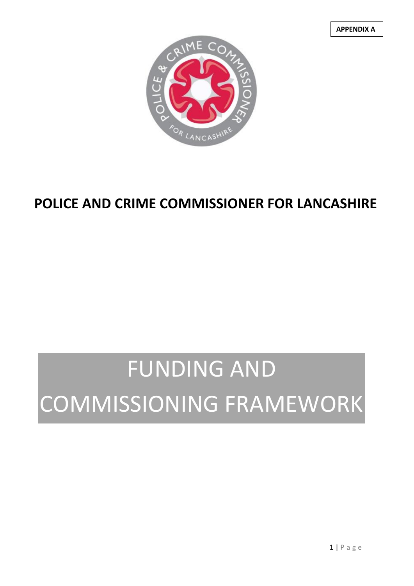**APPENDIX A**



# **POLICE AND CRIME COMMISSIONER FOR LANCASHIRE**

# FUNDING AND COMMISSIONING FRAMEWORK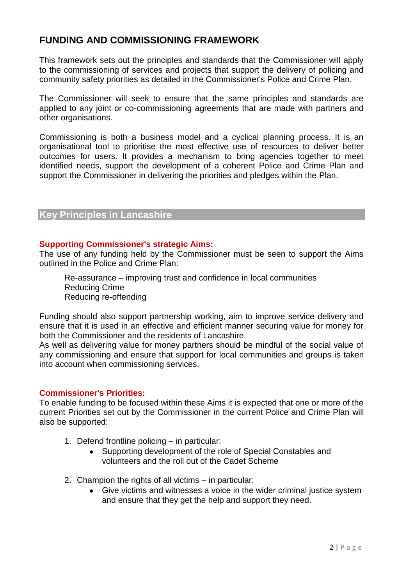# **FUNDING AND COMMISSIONING FRAMEWORK**

This framework sets out the principles and standards that the Commissioner will apply to the commissioning of services and projects that support the delivery of policing and community safety priorities as detailed in the Commissioner's Police and Crime Plan.

The Commissioner will seek to ensure that the same principles and standards are applied to any joint or co-commissioning agreements that are made with partners and other organisations.

Commissioning is both a business model and a cyclical planning process. It is an organisational tool to prioritise the most effective use of resources to deliver better outcomes for users. It provides a mechanism to bring agencies together to meet identified needs, support the development of a coherent Police and Crime Plan and support the Commissioner in delivering the priorities and pledges within the Plan.

# **Key Principles in Lancashire**

#### **Supporting Commissioner's strategic Aims:**

The use of any funding held by the Commissioner must be seen to support the Aims outlined in the Police and Crime Plan:

Re-assurance – improving trust and confidence in local communities Reducing Crime Reducing re-offending

Funding should also support partnership working, aim to improve service delivery and ensure that it is used in an effective and efficient manner securing value for money for both the Commissioner and the residents of Lancashire.

As well as delivering value for money partners should be mindful of the social value of any commissioning and ensure that support for local communities and groups is taken into account when commissioning services.

#### **Commissioner's Priorities:**

To enable funding to be focused within these Aims it is expected that one or more of the current Priorities set out by the Commissioner in the current Police and Crime Plan will also be supported:

- 1. Defend frontline policing in particular:
	- Supporting development of the role of Special Constables and  $\bullet$ volunteers and the roll out of the Cadet Scheme
- 2. Champion the rights of all victims in particular:
	- Give victims and witnesses a voice in the wider criminal justice system and ensure that they get the help and support they need.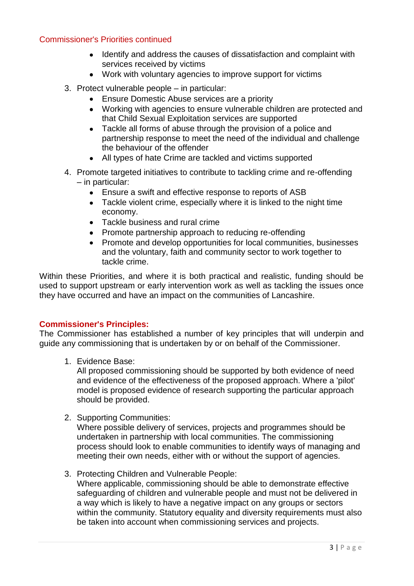#### Commissioner's Priorities continued

- Identify and address the causes of dissatisfaction and complaint with services received by victims
- Work with voluntary agencies to improve support for victims
- 3. Protect vulnerable people in particular:
	- Ensure Domestic Abuse services are a priority
	- Working with agencies to ensure vulnerable children are protected and that Child Sexual Exploitation services are supported
	- Tackle all forms of abuse through the provision of a police and partnership response to meet the need of the individual and challenge the behaviour of the offender
	- All types of hate Crime are tackled and victims supported
- 4. Promote targeted initiatives to contribute to tackling crime and re-offending – in particular:
	- Ensure a swift and effective response to reports of ASB
	- Tackle violent crime, especially where it is linked to the night time economy.
	- Tackle business and rural crime
	- Promote partnership approach to reducing re-offending
	- Promote and develop opportunities for local communities, businesses and the voluntary, faith and community sector to work together to tackle crime.

Within these Priorities, and where it is both practical and realistic, funding should be used to support upstream or early intervention work as well as tackling the issues once they have occurred and have an impact on the communities of Lancashire.

# **Commissioner's Principles:**

The Commissioner has established a number of key principles that will underpin and guide any commissioning that is undertaken by or on behalf of the Commissioner.

1. Evidence Base:

All proposed commissioning should be supported by both evidence of need and evidence of the effectiveness of the proposed approach. Where a 'pilot' model is proposed evidence of research supporting the particular approach should be provided.

2. Supporting Communities:

Where possible delivery of services, projects and programmes should be undertaken in partnership with local communities. The commissioning process should look to enable communities to identify ways of managing and meeting their own needs, either with or without the support of agencies.

3. Protecting Children and Vulnerable People: Where applicable, commissioning should be able to demonstrate effective safeguarding of children and vulnerable people and must not be delivered in a way which is likely to have a negative impact on any groups or sectors within the community. Statutory equality and diversity requirements must also be taken into account when commissioning services and projects.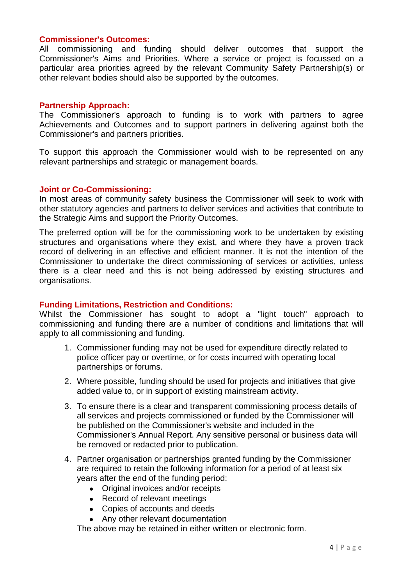#### **Commissioner's Outcomes:**

All commissioning and funding should deliver outcomes that support the Commissioner's Aims and Priorities. Where a service or project is focussed on a particular area priorities agreed by the relevant Community Safety Partnership(s) or other relevant bodies should also be supported by the outcomes.

#### **Partnership Approach:**

The Commissioner's approach to funding is to work with partners to agree Achievements and Outcomes and to support partners in delivering against both the Commissioner's and partners priorities.

To support this approach the Commissioner would wish to be represented on any relevant partnerships and strategic or management boards.

#### **Joint or Co-Commissioning:**

In most areas of community safety business the Commissioner will seek to work with other statutory agencies and partners to deliver services and activities that contribute to the Strategic Aims and support the Priority Outcomes.

The preferred option will be for the commissioning work to be undertaken by existing structures and organisations where they exist, and where they have a proven track record of delivering in an effective and efficient manner. It is not the intention of the Commissioner to undertake the direct commissioning of services or activities, unless there is a clear need and this is not being addressed by existing structures and organisations.

#### **Funding Limitations, Restriction and Conditions:**

Whilst the Commissioner has sought to adopt a "light touch" approach to commissioning and funding there are a number of conditions and limitations that will apply to all commissioning and funding.

- 1. Commissioner funding may not be used for expenditure directly related to police officer pay or overtime, or for costs incurred with operating local partnerships or forums.
- 2. Where possible, funding should be used for projects and initiatives that give added value to, or in support of existing mainstream activity.
- 3. To ensure there is a clear and transparent commissioning process details of all services and projects commissioned or funded by the Commissioner will be published on the Commissioner's website and included in the Commissioner's Annual Report. Any sensitive personal or business data will be removed or redacted prior to publication.
- 4. Partner organisation or partnerships granted funding by the Commissioner are required to retain the following information for a period of at least six years after the end of the funding period:
	- Original invoices and/or receipts
	- Record of relevant meetings
	- Copies of accounts and deeds
	- Any other relevant documentation

The above may be retained in either written or electronic form.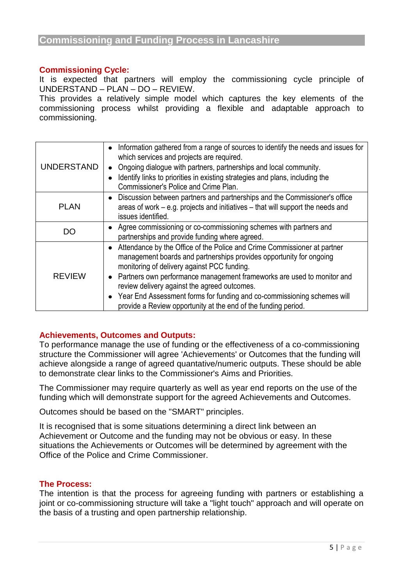#### **Commissioning Cycle:**

It is expected that partners will employ the commissioning cycle principle of UNDERSTAND – PLAN – DO – REVIEW.

This provides a relatively simple model which captures the key elements of the commissioning process whilst providing a flexible and adaptable approach to commissioning.

| <b>UNDERSTAND</b> | Information gathered from a range of sources to identify the needs and issues for<br>$\bullet$<br>which services and projects are required.<br>Ongoing dialogue with partners, partnerships and local community.<br>Identify links to priorities in existing strategies and plans, including the<br>Commissioner's Police and Crime Plan.                                                                                                                                   |
|-------------------|-----------------------------------------------------------------------------------------------------------------------------------------------------------------------------------------------------------------------------------------------------------------------------------------------------------------------------------------------------------------------------------------------------------------------------------------------------------------------------|
| <b>PLAN</b>       | Discussion between partners and partnerships and the Commissioner's office<br>areas of work – e.g. projects and initiatives – that will support the needs and<br>issues identified.                                                                                                                                                                                                                                                                                         |
| DO                | • Agree commissioning or co-commissioning schemes with partners and<br>partnerships and provide funding where agreed.                                                                                                                                                                                                                                                                                                                                                       |
| <b>REVIEW</b>     | • Attendance by the Office of the Police and Crime Commissioner at partner<br>management boards and partnerships provides opportunity for ongoing<br>monitoring of delivery against PCC funding.<br>• Partners own performance management frameworks are used to monitor and<br>review delivery against the agreed outcomes.<br>• Year End Assessment forms for funding and co-commissioning schemes will<br>provide a Review opportunity at the end of the funding period. |

#### **Achievements, Outcomes and Outputs:**

To performance manage the use of funding or the effectiveness of a co-commissioning structure the Commissioner will agree 'Achievements' or Outcomes that the funding will achieve alongside a range of agreed quantative/numeric outputs. These should be able to demonstrate clear links to the Commissioner's Aims and Priorities.

The Commissioner may require quarterly as well as year end reports on the use of the funding which will demonstrate support for the agreed Achievements and Outcomes.

Outcomes should be based on the "SMART" principles.

It is recognised that is some situations determining a direct link between an Achievement or Outcome and the funding may not be obvious or easy. In these situations the Achievements or Outcomes will be determined by agreement with the Office of the Police and Crime Commissioner.

#### **The Process:**

The intention is that the process for agreeing funding with partners or establishing a joint or co-commissioning structure will take a "light touch" approach and will operate on the basis of a trusting and open partnership relationship.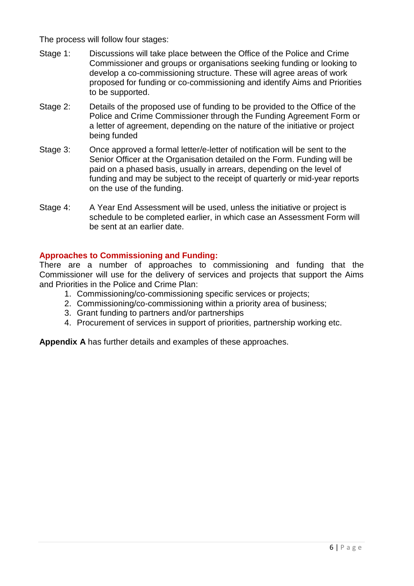The process will follow four stages:

- Stage 1: Discussions will take place between the Office of the Police and Crime Commissioner and groups or organisations seeking funding or looking to develop a co-commissioning structure. These will agree areas of work proposed for funding or co-commissioning and identify Aims and Priorities to be supported.
- Stage 2: Details of the proposed use of funding to be provided to the Office of the Police and Crime Commissioner through the Funding Agreement Form or a letter of agreement, depending on the nature of the initiative or project being funded
- Stage 3: Once approved a formal letter/e-letter of notification will be sent to the Senior Officer at the Organisation detailed on the Form. Funding will be paid on a phased basis, usually in arrears, depending on the level of funding and may be subject to the receipt of quarterly or mid-year reports on the use of the funding.
- Stage 4: A Year End Assessment will be used, unless the initiative or project is schedule to be completed earlier, in which case an Assessment Form will be sent at an earlier date.

# **Approaches to Commissioning and Funding:**

There are a number of approaches to commissioning and funding that the Commissioner will use for the delivery of services and projects that support the Aims and Priorities in the Police and Crime Plan:

- 1. Commissioning/co-commissioning specific services or projects;
- 2. Commissioning/co-commissioning within a priority area of business;
- 3. Grant funding to partners and/or partnerships
- 4. Procurement of services in support of priorities, partnership working etc.

**Appendix A** has further details and examples of these approaches.